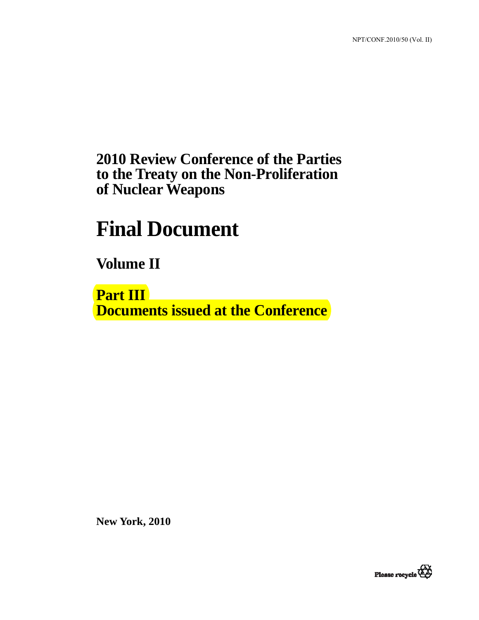## **2010 Review Conference of the Parties to the Treaty on the Non-Proliferation of Nuclear Weapons**

# **Final Document**

**Volume II** 

**Part III Documents issued at the Conference** 

**New York, 2010** 

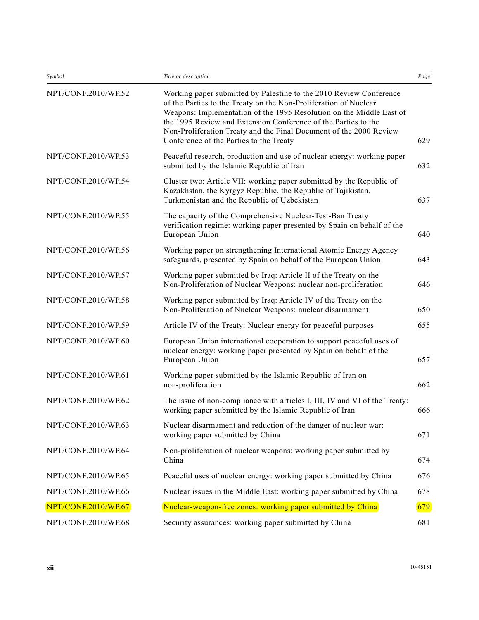| Symbol              | Title or description                                                                                                                                                                                                                                                                                                                                                                              | Page |
|---------------------|---------------------------------------------------------------------------------------------------------------------------------------------------------------------------------------------------------------------------------------------------------------------------------------------------------------------------------------------------------------------------------------------------|------|
| NPT/CONF.2010/WP.52 | Working paper submitted by Palestine to the 2010 Review Conference<br>of the Parties to the Treaty on the Non-Proliferation of Nuclear<br>Weapons: Implementation of the 1995 Resolution on the Middle East of<br>the 1995 Review and Extension Conference of the Parties to the<br>Non-Proliferation Treaty and the Final Document of the 2000 Review<br>Conference of the Parties to the Treaty | 629  |
| NPT/CONF.2010/WP.53 | Peaceful research, production and use of nuclear energy: working paper<br>submitted by the Islamic Republic of Iran                                                                                                                                                                                                                                                                               | 632  |
| NPT/CONF.2010/WP.54 | Cluster two: Article VII: working paper submitted by the Republic of<br>Kazakhstan, the Kyrgyz Republic, the Republic of Tajikistan,<br>Turkmenistan and the Republic of Uzbekistan                                                                                                                                                                                                               | 637  |
| NPT/CONF.2010/WP.55 | The capacity of the Comprehensive Nuclear-Test-Ban Treaty<br>verification regime: working paper presented by Spain on behalf of the<br>European Union                                                                                                                                                                                                                                             | 640  |
| NPT/CONF.2010/WP.56 | Working paper on strengthening International Atomic Energy Agency<br>safeguards, presented by Spain on behalf of the European Union                                                                                                                                                                                                                                                               | 643  |
| NPT/CONF.2010/WP.57 | Working paper submitted by Iraq: Article II of the Treaty on the<br>Non-Proliferation of Nuclear Weapons: nuclear non-proliferation                                                                                                                                                                                                                                                               | 646  |
| NPT/CONF.2010/WP.58 | Working paper submitted by Iraq: Article IV of the Treaty on the<br>Non-Proliferation of Nuclear Weapons: nuclear disarmament                                                                                                                                                                                                                                                                     | 650  |
| NPT/CONF.2010/WP.59 | Article IV of the Treaty: Nuclear energy for peaceful purposes                                                                                                                                                                                                                                                                                                                                    | 655  |
| NPT/CONF.2010/WP.60 | European Union international cooperation to support peaceful uses of<br>nuclear energy: working paper presented by Spain on behalf of the<br>European Union                                                                                                                                                                                                                                       | 657  |
| NPT/CONF.2010/WP.61 | Working paper submitted by the Islamic Republic of Iran on<br>non-proliferation                                                                                                                                                                                                                                                                                                                   | 662  |
| NPT/CONF.2010/WP.62 | The issue of non-compliance with articles I, III, IV and VI of the Treaty:<br>working paper submitted by the Islamic Republic of Iran                                                                                                                                                                                                                                                             | 666  |
| NPT/CONF.2010/WP.63 | Nuclear disarmament and reduction of the danger of nuclear war:<br>working paper submitted by China                                                                                                                                                                                                                                                                                               | 671  |
| NPT/CONF.2010/WP.64 | Non-proliferation of nuclear weapons: working paper submitted by<br>China                                                                                                                                                                                                                                                                                                                         | 674  |
| NPT/CONF.2010/WP.65 | Peaceful uses of nuclear energy: working paper submitted by China                                                                                                                                                                                                                                                                                                                                 | 676  |
| NPT/CONF.2010/WP.66 | Nuclear issues in the Middle East: working paper submitted by China                                                                                                                                                                                                                                                                                                                               | 678  |
| NPT/CONF.2010/WP.67 | Nuclear-weapon-free zones: working paper submitted by China                                                                                                                                                                                                                                                                                                                                       | 679  |
| NPT/CONF.2010/WP.68 | Security assurances: working paper submitted by China                                                                                                                                                                                                                                                                                                                                             | 681  |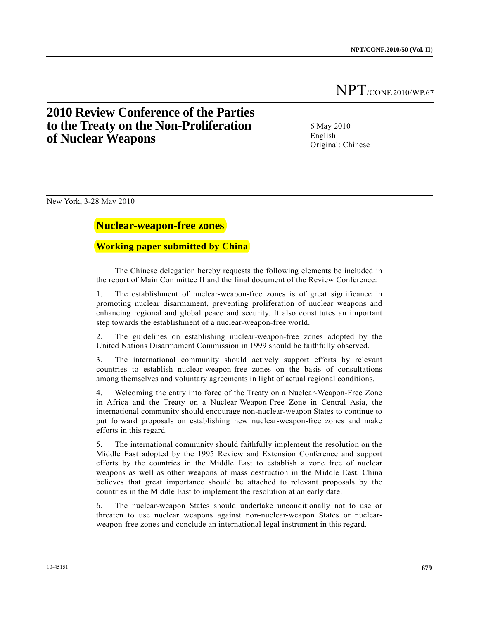## **2010 Review Conference of the Parties to the Treaty on the Non-Proliferation of Nuclear Weapons**

6 May 2010 English Original: Chinese

New York, 3-28 May 2010

### **Nuclear-weapon-free zones**

#### **Working paper submitted by China**

 The Chinese delegation hereby requests the following elements be included in the report of Main Committee II and the final document of the Review Conference:

1. The establishment of nuclear-weapon-free zones is of great significance in promoting nuclear disarmament, preventing proliferation of nuclear weapons and enhancing regional and global peace and security. It also constitutes an important step towards the establishment of a nuclear-weapon-free world.

2. The guidelines on establishing nuclear-weapon-free zones adopted by the United Nations Disarmament Commission in 1999 should be faithfully observed.

3. The international community should actively support efforts by relevant countries to establish nuclear-weapon-free zones on the basis of consultations among themselves and voluntary agreements in light of actual regional conditions.

4. Welcoming the entry into force of the Treaty on a Nuclear-Weapon-Free Zone in Africa and the Treaty on a Nuclear-Weapon-Free Zone in Central Asia, the international community should encourage non-nuclear-weapon States to continue to put forward proposals on establishing new nuclear-weapon-free zones and make efforts in this regard.

5. The international community should faithfully implement the resolution on the Middle East adopted by the 1995 Review and Extension Conference and support efforts by the countries in the Middle East to establish a zone free of nuclear weapons as well as other weapons of mass destruction in the Middle East. China believes that great importance should be attached to relevant proposals by the countries in the Middle East to implement the resolution at an early date.

6. The nuclear-weapon States should undertake unconditionally not to use or threaten to use nuclear weapons against non-nuclear-weapon States or nuclearweapon-free zones and conclude an international legal instrument in this regard.